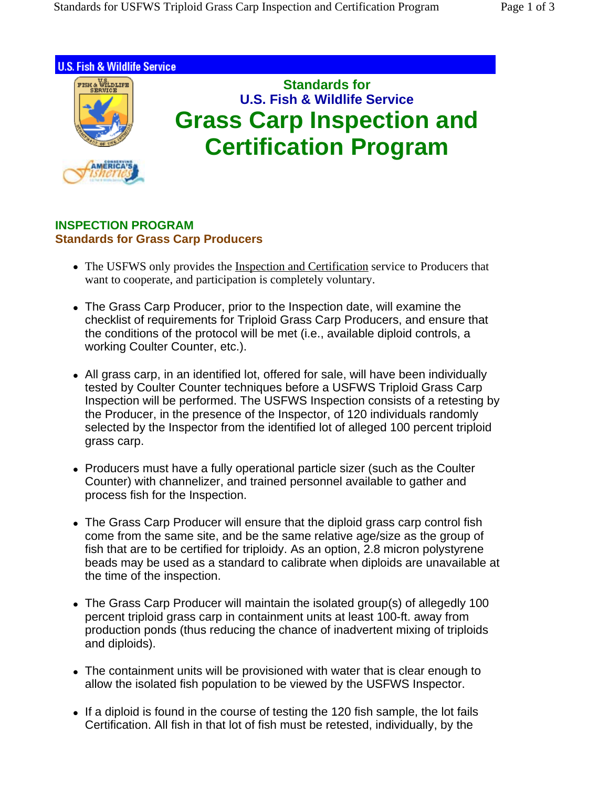

## **INSPECTION PROGRAM Standards for Grass Carp Producers**

- The USFWS only provides the Inspection and Certification service to Producers that want to cooperate, and participation is completely voluntary.
- The Grass Carp Producer, prior to the Inspection date, will examine the checklist of requirements for Triploid Grass Carp Producers, and ensure that the conditions of the protocol will be met (i.e., available diploid controls, a working Coulter Counter, etc.).
- All grass carp, in an identified lot, offered for sale, will have been individually tested by Coulter Counter techniques before a USFWS Triploid Grass Carp Inspection will be performed. The USFWS Inspection consists of a retesting by the Producer, in the presence of the Inspector, of 120 individuals randomly selected by the Inspector from the identified lot of alleged 100 percent triploid grass carp.
- Producers must have a fully operational particle sizer (such as the Coulter Counter) with channelizer, and trained personnel available to gather and process fish for the Inspection.
- The Grass Carp Producer will ensure that the diploid grass carp control fish come from the same site, and be the same relative age/size as the group of fish that are to be certified for triploidy. As an option, 2.8 micron polystyrene beads may be used as a standard to calibrate when diploids are unavailable at the time of the inspection.
- The Grass Carp Producer will maintain the isolated group(s) of allegedly 100 percent triploid grass carp in containment units at least 100-ft. away from production ponds (thus reducing the chance of inadvertent mixing of triploids and diploids).
- The containment units will be provisioned with water that is clear enough to allow the isolated fish population to be viewed by the USFWS Inspector.
- If a diploid is found in the course of testing the 120 fish sample, the lot fails Certification. All fish in that lot of fish must be retested, individually, by the